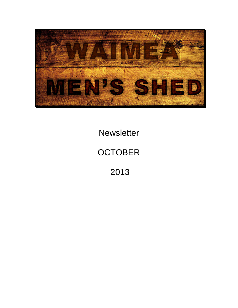

**Newsletter** 

# **OCTOBER**

2013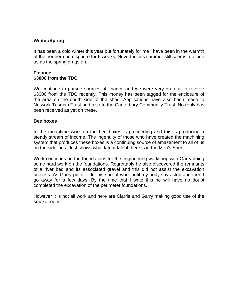## **Winter/Spring**

It has been a cold winter this year but fortunately for me I have been in the warmth of the northern hemisphere for 6 weeks. Nevertheless summer still seems to elude us as the spring drags on.

#### **Finance \$3000 from the TDC.**

We continue to pursue sources of finance and we were very grateful to receive \$3000 from the TDC recently. This money has been tagged for the enclosure of the area on the south side of the shed. Applications have also been made to Network Tasman Trust and also to the Canterbury Community Trust. No reply has been received as yet on these.

#### **Bee boxes**

In the meantime work on the bee boxes is proceeding and this is producing a steady stream of income. The ingenuity of those who have created the machining system that produces these boxes is a continuing source of amazement to all of us on the sidelines. Just shows what latent talent there is in the Men's Shed.

Work continues on the foundations for the engineering workshop with Garry doing some hard work on the foundations. Regrettably he also discovered the remnants of a river bed and its associated gravel and this did not assist the excavation process. As Garry put it: I do this sort of work until my body says stop and then I go away for a few days. By the time that I write this he will have no doubt completed the excavation of the perimeter foundations.

However it is not all work and here are Clarrie and Garry making good use of the smoko room.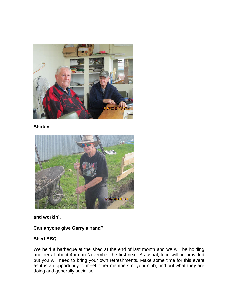

**Shirkin'**



**and workin'.**

**Can anyone give Garry a hand?**

# **Shed BBQ**

We held a barbeque at the shed at the end of last month and we will be holding another at about 4pm on November the first next. As usual, food will be provided but you will need to bring your own refreshments. Make some time for this event as it is an opportunity to meet other members of your club, find out what they are doing and generally socialise.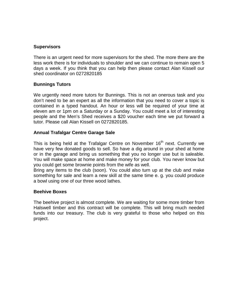#### **Supervisors**

There is an urgent need for more supervisors for the shed. The more there are the less work there is for individuals to shoulder and we can continue to remain open 5 days a week. If you think that you can help then please contact Alan Kissell our shed coordinator on 0272820185

## **Bunnings Tutors**

We urgently need more tutors for Bunnings. This is not an onerous task and you don't need to be an expert as all the information that you need to cover a topic is contained in a typed handout. An hour or less will be required of your time at eleven am or 1pm on a Saturday or a Sunday. You could meet a lot of interesting people and the Men's Shed receives a \$20 voucher each time we put forward a tutor. Please call Alan Kissell on 0272820185.

## **Annual Trafalgar Centre Garage Sale**

This is being held at the Trafalgar Centre on November  $16<sup>th</sup>$  next. Currently we have very few donated goods to sell. So have a dig around in your shed at home or in the garage and bring us something that you no longer use but is saleable. You will make space at home and make money for your club. You never know but you could get some brownie points from the wife as well.

Bring any items to the club (soon). You could also turn up at the club and make something for sale and learn a new skill at the same time e. g. you could produce a bowl using one of our three wood lathes.

#### **Beehive Boxes**

The beehive project is almost complete. We are waiting for some more timber from Halswell timber and this contract will be complete. This will bring much needed funds into our treasury. The club is very grateful to those who helped on this project.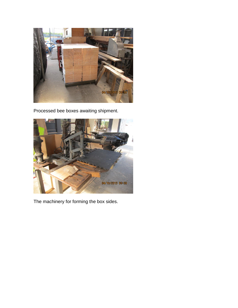

Processed bee boxes awaiting shipment.



The machinery for forming the box sides.